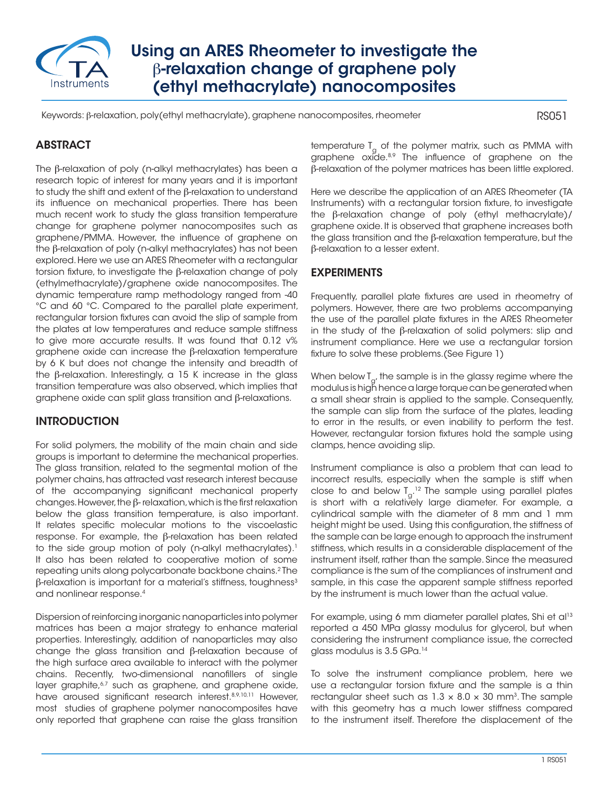

# Using an ARES Rheometer to investigate the β-relaxation change of graphene poly (ethyl methacrylate) nanocomposites

Keywords: β-relaxation, poly(ethyl methacrylate), graphene nanocomposites, rheometer

RS051

# ABSTRACT

The β-relaxation of poly (n-alkyl methacrylates) has been a research topic of interest for many years and it is important to study the shift and extent of the β-relaxation to understand its influence on mechanical properties. There has been much recent work to study the glass transition temperature change for graphene polymer nanocomposites such as graphene/PMMA. However, the influence of graphene on the β-relaxation of poly (n-alkyl methacrylates) has not been explored. Here we use an ARES Rheometer with a rectangular torsion fixture, to investigate the β-relaxation change of poly (ethylmethacrylate)/graphene oxide nanocomposites. The dynamic temperature ramp methodology ranged from -40 °C and 60 °C. Compared to the parallel plate experiment, rectangular torsion fixtures can avoid the slip of sample from the plates at low temperatures and reduce sample stiffness to give more accurate results. It was found that 0.12 v% graphene oxide can increase the β-relaxation temperature by 6 K but does not change the intensity and breadth of the β-relaxation. Interestingly, a 15 K increase in the glass transition temperature was also observed, which implies that graphene oxide can split glass transition and β-relaxations.

## **INTRODUCTION**

For solid polymers, the mobility of the main chain and side groups is important to determine the mechanical properties. The glass transition, related to the segmental motion of the polymer chains, has attracted vast research interest because of the accompanying significant mechanical property changes. However, the β- relaxation, which is the first relaxation below the glass transition temperature, is also important. It relates specific molecular motions to the viscoelastic response. For example, the β-relaxation has been related to the side group motion of poly (n-alkyl methacrylates).<sup>1</sup> It also has been related to cooperative motion of some repeating units along polycarbonate backbone chains.2 The β-relaxation is important for a material's stiffness, toughness<sup>3</sup> and nonlinear response.4

Dispersion of reinforcing inorganic nanoparticles into polymer matrices has been a major strategy to enhance material properties. Interestingly, addition of nanoparticles may also change the glass transition and β-relaxation because of the high surface area available to interact with the polymer chains. Recently, two-dimensional nanofillers of single layer graphite,<sup>6,7</sup> such as graphene, and graphene oxide, have aroused significant research interest. 8,9,10,11 However, most studies of graphene polymer nanocomposites have only reported that graphene can raise the glass transition temperature  $T_{g}$  of the polymer matrix, such as PMMA with graphene oxide.<sup>8,9</sup> The influence of graphene on the β-relaxation of the polymer matrices has been little explored.

Here we describe the application of an ARES Rheometer (TA Instruments) with a rectangular torsion fixture, to investigate the β-relaxation change of poly (ethyl methacrylate)/ graphene oxide. It is observed that graphene increases both the glass transition and the β-relaxation temperature, but the β-relaxation to a lesser extent.

### EXPERIMENTS

Frequently, parallel plate fixtures are used in rheometry of polymers. However, there are two problems accompanying the use of the parallel plate fixtures in the ARES Rheometer in the study of the β-relaxation of solid polymers: slip and instrument compliance. Here we use a rectangular torsion fixture to solve these problems.(See Figure 1)

When below  $T_{\alpha'}$  the sample is in the glassy regime where the modulus is high hence a large torque can be generated when a small shear strain is applied to the sample. Consequently, the sample can slip from the surface of the plates, leading to error in the results, or even inability to perform the test. However, rectangular torsion fixtures hold the sample using clamps, hence avoiding slip.

Instrument compliance is also a problem that can lead to incorrect results, especially when the sample is stiff when close to and below  $T_{\rm g}^{\phantom{\dag}}$  . The sample using parallel plates is short with a relatively large diameter. For example, a cylindrical sample with the diameter of 8 mm and 1 mm height might be used. Using this configuration, the stiffness of the sample can be large enough to approach the instrument stiffness, which results in a considerable displacement of the instrument itself, rather than the sample. Since the measured compliance is the sum of the compliances of instrument and sample, in this case the apparent sample stiffness reported by the instrument is much lower than the actual value.

For example, using 6 mm diameter parallel plates, Shi et al<sup>13</sup> reported a 450 MPa glassy modulus for glycerol, but when considering the instrument compliance issue, the corrected glass modulus is 3.5 GPa.14

To solve the instrument compliance problem, here we use a rectangular torsion fixture and the sample is a thin rectangular sheet such as  $1.3 \times 8.0 \times 30$  mm<sup>3</sup>. The sample with this geometry has a much lower stiffness compared to the instrument itself. Therefore the displacement of the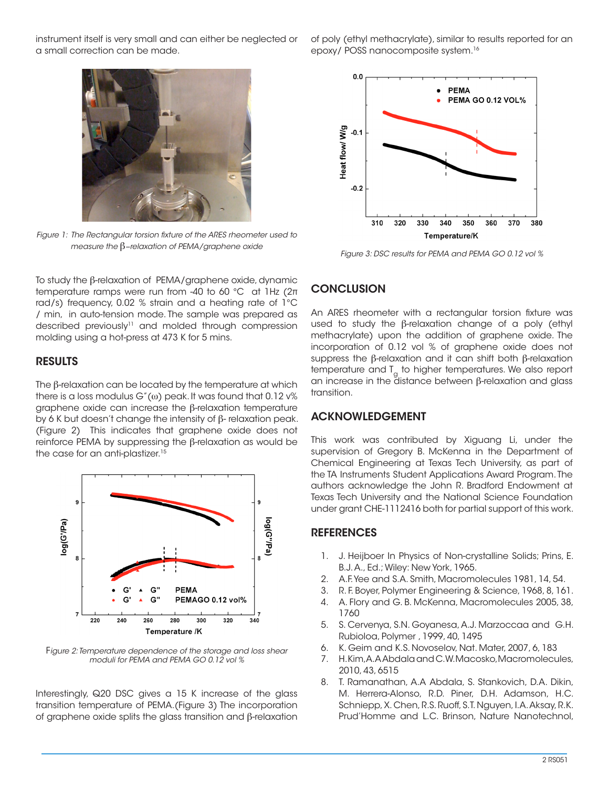instrument itself is very small and can either be neglected or a small correction can be made.

of poly (ethyl methacrylate), similar to results reported for an epoxy/ POSS nanocomposite system.16



*Figure 1: The Rectangular torsion fixture of the ARES rheometer used to measure the* β*−relaxation of PEMA/graphene oxide*



*Figure 3: DSC results for PEMA and PEMA GO 0.12 vol %*

To study the β-relaxation of PEMA/graphene oxide, dynamic temperature ramps were run from -40 to 60 °C at 1Hz (2π rad/s) frequency, 0.02 % strain and a heating rate of 1°C / min, in auto-tension mode. The sample was prepared as described previously<sup>11</sup> and molded through compression molding using a hot-press at 473 K for 5 mins.

#### RESULTS

The β-relaxation can be located by the temperature at which there is a loss modulus  $G''(\omega)$  peak. It was found that 0.12  $\nu\%$ graphene oxide can increase the β-relaxation temperature by 6 K but doesn't change the intensity of β- relaxation peak. (Figure 2) This indicates that graphene oxide does not reinforce PEMA by suppressing the β-relaxation as would be the case for an anti-plastizer.<sup>15</sup>



F*igure 2: Temperature dependence of the storage and loss shear moduli for PEMA and PEMA GO 0.12 vol %*

Interestingly, Q20 DSC gives a 15 K increase of the glass transition temperature of PEMA.(Figure 3) The incorporation of graphene oxide splits the glass transition and β-relaxation

#### **CONCLUSION**

An ARES rheometer with a rectangular torsion fixture was used to study the β-relaxation change of a poly (ethyl methacrylate) upon the addition of graphene oxide. The incorporation of 0.12 vol % of graphene oxide does not suppress the β-relaxation and it can shift both β-relaxation temperature and  $T_a$  to higher temperatures. We also report an increase in the distance between β-relaxation and glass transition.

#### ACKNOWLEDGEMENT

This work was contributed by Xiguang Li, under the supervision of Gregory B. McKenna in the Department of Chemical Engineering at Texas Tech University, as part of the TA Instruments Student Applications Award Program. The authors acknowledge the John R. Bradford Endowment at Texas Tech University and the National Science Foundation under grant CHE-1112416 both for partial support of this work.

#### **REFERENCES**

- 1. J. Heijboer In Physics of Non-crystalline Solids; Prins, E. B.J. A., Ed.; Wiley: New York, 1965.
- 2. A.F. Yee and S.A. Smith, Macromolecules 1981, 14, 54.
- 3. R. F. Boyer, Polymer Engineering & Science, 1968, 8, 161.
- 4. A. Flory and G. B. McKenna, Macromolecules 2005, 38, 1760
- 5. S. Cervenya, S.N. Goyanesa, A.J. Marzoccaa and G.H. Rubioloa, Polymer , 1999, 40, 1495
- 6. K. Geim and K.S. Novoselov, Nat. Mater, 2007, 6, 183
- 7. H. Kim, A.A Abdala and C.W. Macosko, Macromolecules, 2010, 43, 6515
- 8. T. Ramanathan, A.A Abdala, S. Stankovich, D.A. Dikin, M. Herrera-Alonso, R.D. Piner, D.H. Adamson, H.C. Schniepp, X. Chen, R.S. Ruoff, S.T. Nguyen, I.A. Aksay, R.K. Prud'Homme and L.C. Brinson, Nature Nanotechnol,